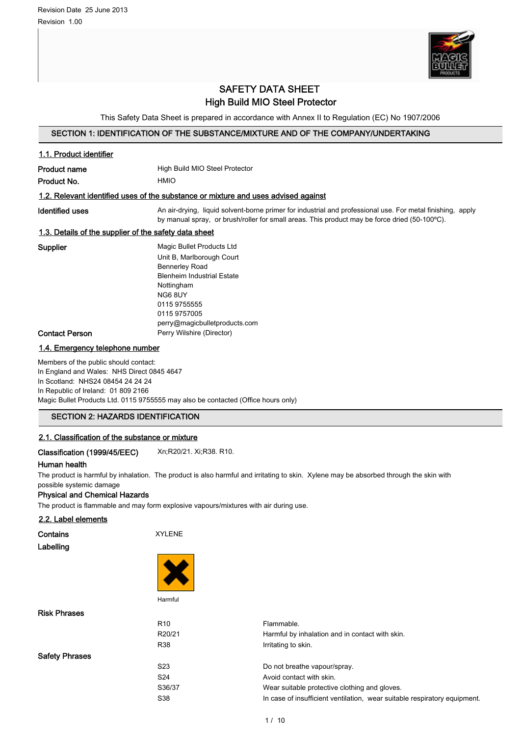

## SAFETY DATA SHEET High Build MIO Steel Protector

This Safety Data Sheet is prepared in accordance with Annex II to Regulation (EC) No 1907/2006

## SECTION 1: IDENTIFICATION OF THE SUBSTANCE/MIXTURE AND OF THE COMPANY/UNDERTAKING

| 1.1. Product identifier                                                                                                                                         |                                                                                                                                                                                                                                                    |  |
|-----------------------------------------------------------------------------------------------------------------------------------------------------------------|----------------------------------------------------------------------------------------------------------------------------------------------------------------------------------------------------------------------------------------------------|--|
| <b>Product name</b>                                                                                                                                             | High Build MIO Steel Protector                                                                                                                                                                                                                     |  |
| Product No.                                                                                                                                                     | <b>HMIO</b>                                                                                                                                                                                                                                        |  |
|                                                                                                                                                                 | 1.2. Relevant identified uses of the substance or mixture and uses advised against                                                                                                                                                                 |  |
| Identified uses                                                                                                                                                 | An air-drying, liquid solvent-borne primer for industrial and professional use. For metal finishing, apply<br>by manual spray, or brush/roller for small areas. This product may be force dried (50-100°C).                                        |  |
| 1.3. Details of the supplier of the safety data sheet                                                                                                           |                                                                                                                                                                                                                                                    |  |
| Supplier<br><b>Contact Person</b>                                                                                                                               | Magic Bullet Products Ltd<br>Unit B, Marlborough Court<br><b>Bennerley Road</b><br><b>Blenheim Industrial Estate</b><br>Nottingham<br><b>NG6 8UY</b><br>0115 9755555<br>0115 9757005<br>perry@magicbulletproducts.com<br>Perry Wilshire (Director) |  |
| 1.4. Emergency telephone number                                                                                                                                 |                                                                                                                                                                                                                                                    |  |
| Members of the public should contact:<br>In England and Wales: NHS Direct 0845 4647<br>In Scotland: NHS24 08454 24 24 24<br>In Republic of Ireland: 01 809 2166 | Magic Bullet Products Ltd. 0115 9755555 may also be contacted (Office hours only)                                                                                                                                                                  |  |
| <b>SECTION 2: HAZARDS IDENTIFICATION</b>                                                                                                                        |                                                                                                                                                                                                                                                    |  |
| 2.1. Classification of the substance or mixture                                                                                                                 |                                                                                                                                                                                                                                                    |  |
| Classification (1999/45/EEC)                                                                                                                                    | Xn;R20/21. Xi;R38. R10.                                                                                                                                                                                                                            |  |
| Human health                                                                                                                                                    |                                                                                                                                                                                                                                                    |  |
| possible systemic damage<br>Physical and Chemical Hazards                                                                                                       | The product is harmful by inhalation. The product is also harmful and irritating to skin. Xylene may be absorbed through the skin with                                                                                                             |  |

#### Physical and Chemical Hazards

The product is flammable and may form explosive vapours/mixtures with air during use.

## 2.2. Label elements

| Contains |           |
|----------|-----------|
|          | Labelling |

**Contains** XYLENE



Harmful

| <b>Risk Phrases</b>   |                 |                                                                           |
|-----------------------|-----------------|---------------------------------------------------------------------------|
|                       | R <sub>10</sub> | Flammable.                                                                |
|                       | R20/21          | Harmful by inhalation and in contact with skin.                           |
|                       | R38             | Irritating to skin.                                                       |
| <b>Safety Phrases</b> |                 |                                                                           |
|                       | S <sub>23</sub> | Do not breathe vapour/spray.                                              |
|                       | S <sub>24</sub> | Avoid contact with skin.                                                  |
|                       | S36/37          | Wear suitable protective clothing and gloves.                             |
|                       | S38             | In case of insufficient ventilation, wear suitable respiratory equipment. |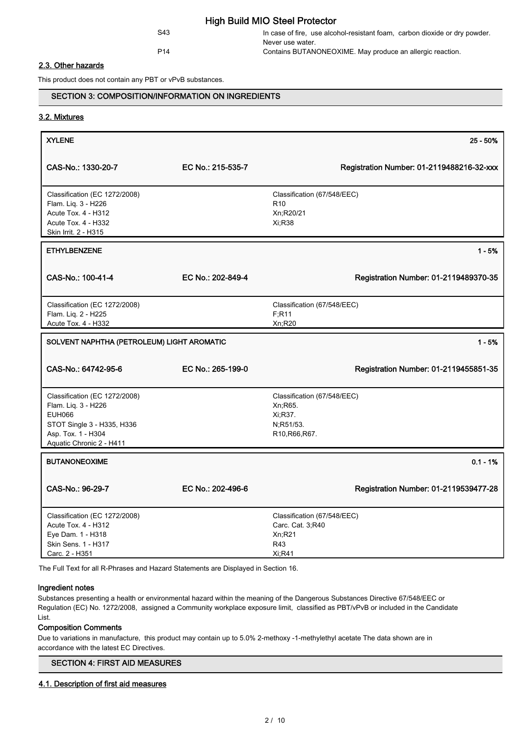### S43 In case of fire, use alcohol-resistant foam, carbon dioxide or dry powder. Never use water. P14 Contains BUTANONEOXIME. May produce an allergic reaction.

#### 2.3. Other hazards

This product does not contain any PBT or vPvB substances.

## SECTION 3: COMPOSITION/INFORMATION ON INGREDIENTS

#### 3.2. Mixtures

| <b>XYLENE</b>                                                                                                                                         |                   |                                                                                   | 25 - 50%                                  |
|-------------------------------------------------------------------------------------------------------------------------------------------------------|-------------------|-----------------------------------------------------------------------------------|-------------------------------------------|
| CAS-No.: 1330-20-7                                                                                                                                    | EC No.: 215-535-7 |                                                                                   | Registration Number: 01-2119488216-32-xxx |
| Classification (EC 1272/2008)<br>Flam. Liq. 3 - H226<br>Acute Tox. 4 - H312<br>Acute Tox. 4 - H332<br>Skin Irrit. 2 - H315                            |                   | Classification (67/548/EEC)<br>R <sub>10</sub><br>Xn;R20/21<br>Xi;R38             |                                           |
| <b>ETHYLBENZENE</b>                                                                                                                                   |                   |                                                                                   | $1 - 5%$                                  |
| CAS-No.: 100-41-4                                                                                                                                     | EC No.: 202-849-4 |                                                                                   | Registration Number: 01-2119489370-35     |
| Classification (EC 1272/2008)<br>Flam. Liq. 2 - H225<br>Acute Tox. 4 - H332                                                                           |                   | Classification (67/548/EEC)<br>F; R11<br>Xn;R20                                   |                                           |
| SOLVENT NAPHTHA (PETROLEUM) LIGHT AROMATIC                                                                                                            |                   |                                                                                   | $1 - 5%$                                  |
| CAS-No.: 64742-95-6                                                                                                                                   | EC No.: 265-199-0 |                                                                                   | Registration Number: 01-2119455851-35     |
| Classification (EC 1272/2008)<br>Flam. Liq. 3 - H226<br><b>EUH066</b><br>STOT Single 3 - H335, H336<br>Asp. Tox. 1 - H304<br>Aquatic Chronic 2 - H411 |                   | Classification (67/548/EEC)<br>Xn; R65.<br>Xi:R37.<br>N;R51/53.<br>R10, R66, R67. |                                           |
| <b>BUTANONEOXIME</b>                                                                                                                                  |                   |                                                                                   | $0.1 - 1%$                                |
| CAS-No.: 96-29-7                                                                                                                                      | EC No.: 202-496-6 |                                                                                   | Registration Number: 01-2119539477-28     |
| Classification (EC 1272/2008)<br>Acute Tox. 4 - H312<br>Eye Dam. 1 - H318<br>Skin Sens. 1 - H317                                                      |                   | Classification (67/548/EEC)<br>Carc. Cat. 3;R40<br>Xn; R21<br>R43                 |                                           |

The Full Text for all R-Phrases and Hazard Statements are Displayed in Section 16.

#### Ingredient notes

Carc. 2 - H351

Substances presenting a health or environmental hazard within the meaning of the Dangerous Substances Directive 67/548/EEC or Regulation (EC) No. 1272/2008, assigned a Community workplace exposure limit, classified as PBT/vPvB or included in the Candidate List.

#### Composition Comments

Due to variations in manufacture, this product may contain up to 5.0% 2-methoxy -1-methylethyl acetate The data shown are in accordance with the latest EC Directives.

#### SECTION 4: FIRST AID MEASURES

## 4.1. Description of first aid measures

Xi;R41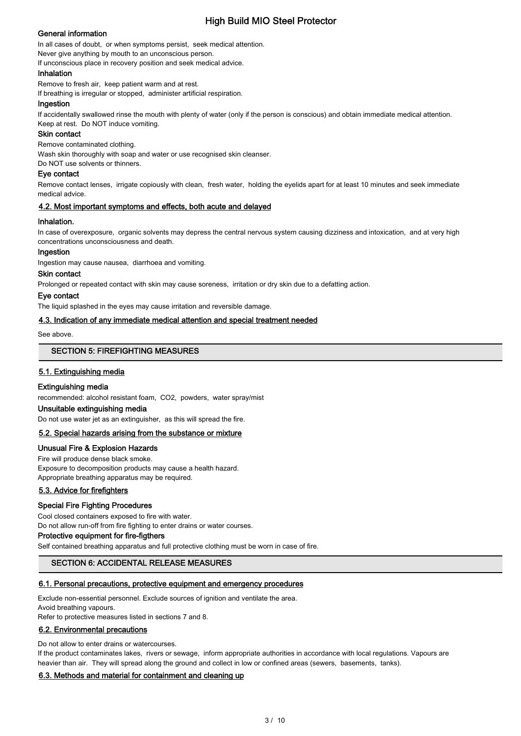## General information

In all cases of doubt, or when symptoms persist, seek medical attention.

Never give anything by mouth to an unconscious person.

If unconscious place in recovery position and seek medical advice.

## Inhalation

Remove to fresh air, keep patient warm and at rest.

If breathing is irregular or stopped, administer artificial respiration.

#### Ingestion

If accidentally swallowed rinse the mouth with plenty of water (only if the person is conscious) and obtain immediate medical attention. Keep at rest. Do NOT induce vomiting.

#### Skin contact

Remove contaminated clothing.

Wash skin thoroughly with soap and water or use recognised skin cleanser.

Do NOT use solvents or thinners.

## Eye contact

Remove contact lenses, irrigate copiously with clean, fresh water, holding the eyelids apart for at least 10 minutes and seek immediate medical advice.

### 4.2. Most important symptoms and effects, both acute and delayed

#### Inhalation.

In case of overexposure, organic solvents may depress the central nervous system causing dizziness and intoxication, and at very high concentrations unconsciousness and death.

#### Ingestion

Ingestion may cause nausea, diarrhoea and vomiting.

#### Skin contact

Prolonged or repeated contact with skin may cause soreness, irritation or dry skin due to a defatting action.

#### Eye contact

The liquid splashed in the eyes may cause irritation and reversible damage.

#### 4.3. Indication of any immediate medical attention and special treatment needed

See above.

#### SECTION 5: FIREFIGHTING MEASURES

## 5.1. Extinguishing media

#### Extinguishing media

recommended: alcohol resistant foam, CO2, powders, water spray/mist

## Unsuitable extinguishing media

Do not use water jet as an extinguisher, as this will spread the fire.

#### 5.2. Special hazards arising from the substance or mixture

#### Unusual Fire & Explosion Hazards

Fire will produce dense black smoke. Exposure to decomposition products may cause a health hazard. Appropriate breathing apparatus may be required.

## 5.3. Advice for firefighters

## Special Fire Fighting Procedures

Cool closed containers exposed to fire with water.

Do not allow run-off from fire fighting to enter drains or water courses.

## Protective equipment for fire-figthers

Self contained breathing apparatus and full protective clothing must be worn in case of fire.

## SECTION 6: ACCIDENTAL RELEASE MEASURES

## 6.1. Personal precautions, protective equipment and emergency procedures

Exclude non-essential personnel. Exclude sources of ignition and ventilate the area. Avoid breathing vapours. Refer to protective measures listed in sections 7 and 8.

# 6.2. Environmental precautions

#### Do not allow to enter drains or watercourses.

If the product contaminates lakes, rivers or sewage, inform appropriate authorities in accordance with local regulations. Vapours are heavier than air. They will spread along the ground and collect in low or confined areas (sewers, basements, tanks).

#### 6.3. Methods and material for containment and cleaning up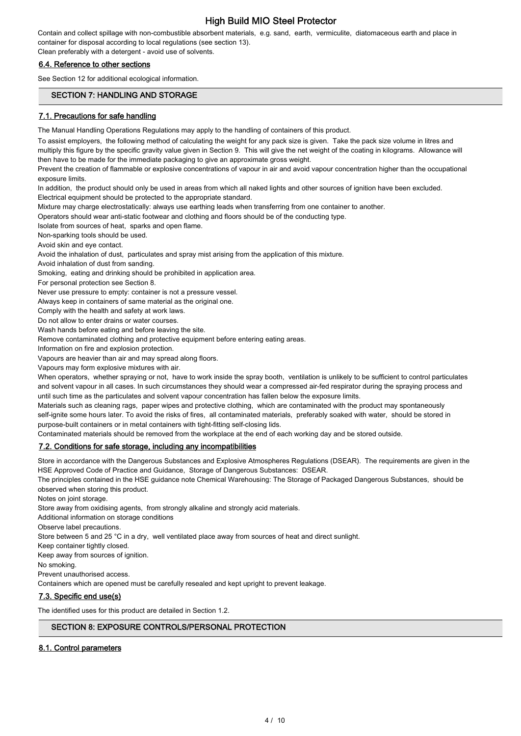Contain and collect spillage with non-combustible absorbent materials, e.g. sand, earth, vermiculite, diatomaceous earth and place in container for disposal according to local regulations (see section 13).

Clean preferably with a detergent - avoid use of solvents.

## 6.4. Reference to other sections

See Section 12 for additional ecological information.

## SECTION 7: HANDLING AND STORAGE

### 7.1. Precautions for safe handling

The Manual Handling Operations Regulations may apply to the handling of containers of this product.

To assist employers, the following method of calculating the weight for any pack size is given. Take the pack size volume in litres and multiply this figure by the specific gravity value given in Section 9. This will give the net weight of the coating in kilograms. Allowance will then have to be made for the immediate packaging to give an approximate gross weight.

Prevent the creation of flammable or explosive concentrations of vapour in air and avoid vapour concentration higher than the occupational exposure limits.

In addition, the product should only be used in areas from which all naked lights and other sources of ignition have been excluded. Electrical equipment should be protected to the appropriate standard.

Mixture may charge electrostatically: always use earthing leads when transferring from one container to another.

Operators should wear anti-static footwear and clothing and floors should be of the conducting type.

Isolate from sources of heat, sparks and open flame.

Non-sparking tools should be used.

Avoid skin and eye contact.

Avoid the inhalation of dust, particulates and spray mist arising from the application of this mixture.

Avoid inhalation of dust from sanding.

Smoking, eating and drinking should be prohibited in application area.

For personal protection see Section 8.

Never use pressure to empty: container is not a pressure vessel.

Always keep in containers of same material as the original one.

Comply with the health and safety at work laws.

Do not allow to enter drains or water courses.

Wash hands before eating and before leaving the site.

Remove contaminated clothing and protective equipment before entering eating areas.

Information on fire and explosion protection.

Vapours are heavier than air and may spread along floors.

Vapours may form explosive mixtures with air.

When operators, whether spraying or not, have to work inside the spray booth, ventilation is unlikely to be sufficient to control particulates and solvent vapour in all cases. In such circumstances they should wear a compressed air-fed respirator during the spraying process and until such time as the particulates and solvent vapour concentration has fallen below the exposure limits.

Materials such as cleaning rags, paper wipes and protective clothing, which are contaminated with the product may spontaneously self-ignite some hours later. To avoid the risks of fires, all contaminated materials, preferably soaked with water, should be stored in purpose-built containers or in metal containers with tight-fitting self-closing lids.

Contaminated materials should be removed from the workplace at the end of each working day and be stored outside.

## 7.2. Conditions for safe storage, including any incompatibilities

Store in accordance with the Dangerous Substances and Explosive Atmospheres Regulations (DSEAR). The requirements are given in the HSE Approved Code of Practice and Guidance, Storage of Dangerous Substances: DSEAR.

The principles contained in the HSE guidance note Chemical Warehousing: The Storage of Packaged Dangerous Substances, should be observed when storing this product.

Notes on joint storage.

Store away from oxidising agents, from strongly alkaline and strongly acid materials.

Additional information on storage conditions

Observe label precautions.

Store between 5 and 25 °C in a dry, well ventilated place away from sources of heat and direct sunlight.

Keep container tightly closed.

Keep away from sources of ignition.

No smoking.

Prevent unauthorised access.

Containers which are opened must be carefully resealed and kept upright to prevent leakage.

## 7.3. Specific end use(s)

The identified uses for this product are detailed in Section 1.2.

## SECTION 8: EXPOSURE CONTROLS/PERSONAL PROTECTION

#### 8.1. Control parameters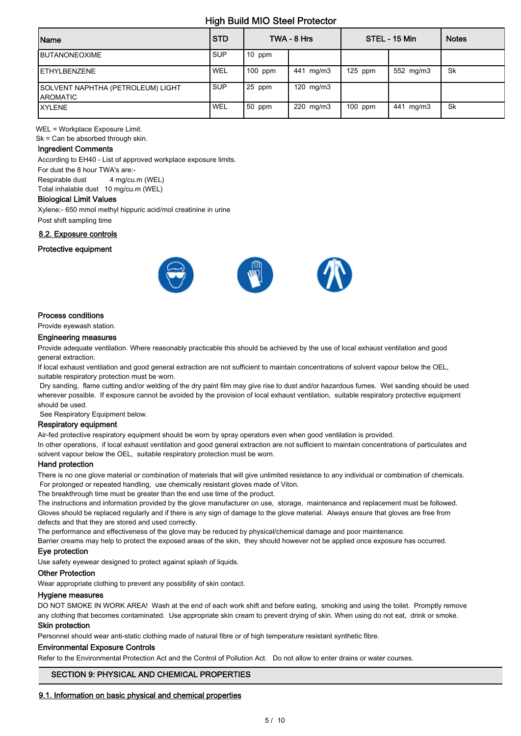| Name                                                 | l STD      |           | TWA - 8 Hrs    |           | STEL - 15 Min | <b>Notes</b> |
|------------------------------------------------------|------------|-----------|----------------|-----------|---------------|--------------|
| BUTANONEOXIME                                        | <b>SUP</b> | 10 ppm    |                |           |               |              |
| <b>IETHYLBENZENE</b>                                 | WEL        | $100$ ppm | 441 mg/m3      | $125$ ppm | 552 mg/m3     | Sk           |
| SOLVENT NAPHTHA (PETROLEUM) LIGHT<br><b>AROMATIC</b> | <b>SUP</b> | 25 ppm    | 120 $mg/m3$    |           |               |              |
| <b>IXYLENE</b>                                       | WEL        | $50$ ppm  | $220$ mg/m $3$ | $100$ ppm | 441 mg/m3     | Sk           |

WEL = Workplace Exposure Limit.

Sk = Can be absorbed through skin.

#### Ingredient Comments

According to EH40 - List of approved workplace exposure limits.

For dust the 8 hour TWA's are:- Respirable dust 4 mg/cu.m (WEL)

Total inhalable dust 10 mg/cu.m (WEL)

#### Biological Limit Values

Xylene:- 650 mmol methyl hippuric acid/mol creatinine in urine

Post shift sampling time

#### 8.2. Exposure controls

#### Protective equipment



#### Process conditions

Provide eyewash station.

#### Engineering measures

Provide adequate ventilation. Where reasonably practicable this should be achieved by the use of local exhaust ventilation and good general extraction.

If local exhaust ventilation and good general extraction are not sufficient to maintain concentrations of solvent vapour below the OEL, suitable respiratory protection must be worn.

 Dry sanding, flame cutting and/or welding of the dry paint film may give rise to dust and/or hazardous fumes. Wet sanding should be used wherever possible. If exposure cannot be avoided by the provision of local exhaust ventilation, suitable respiratory protective equipment should be used.

See Respiratory Equipment below.

#### Respiratory equipment

Air-fed protective respiratory equipment should be worn by spray operators even when good ventilation is provided. In other operations, if local exhaust ventilation and good general extraction are not sufficient to maintain concentrations of particulates and solvent vapour below the OEL, suitable respiratory protection must be worn.

#### Hand protection

There is no one glove material or combination of materials that will give unlimited resistance to any individual or combination of chemicals. For prolonged or repeated handling, use chemically resistant gloves made of Viton.

The breakthrough time must be greater than the end use time of the product.

The instructions and information provided by the glove manufacturer on use, storage, maintenance and replacement must be followed. Gloves should be replaced regularly and if there is any sign of damage to the glove material. Always ensure that gloves are free from defects and that they are stored and used correctly.

The performance and effectiveness of the glove may be reduced by physical/chemical damage and poor maintenance.

Barrier creams may help to protect the exposed areas of the skin, they should however not be applied once exposure has occurred.

#### Eye protection

Use safety eyewear designed to protect against splash of liquids.

#### Other Protection

Wear appropriate clothing to prevent any possibility of skin contact.

#### Hygiene measures

DO NOT SMOKE IN WORK AREA! Wash at the end of each work shift and before eating, smoking and using the toilet. Promptly remove any clothing that becomes contaminated. Use appropriate skin cream to prevent drying of skin. When using do not eat, drink or smoke.

#### Skin protection

Personnel should wear anti-static clothing made of natural fibre or of high temperature resistant synthetic fibre.

#### Environmental Exposure Controls

Refer to the Environmental Protection Act and the Control of Pollution Act. Do not allow to enter drains or water courses.

## SECTION 9: PHYSICAL AND CHEMICAL PROPERTIES

#### 9.1. Information on basic physical and chemical properties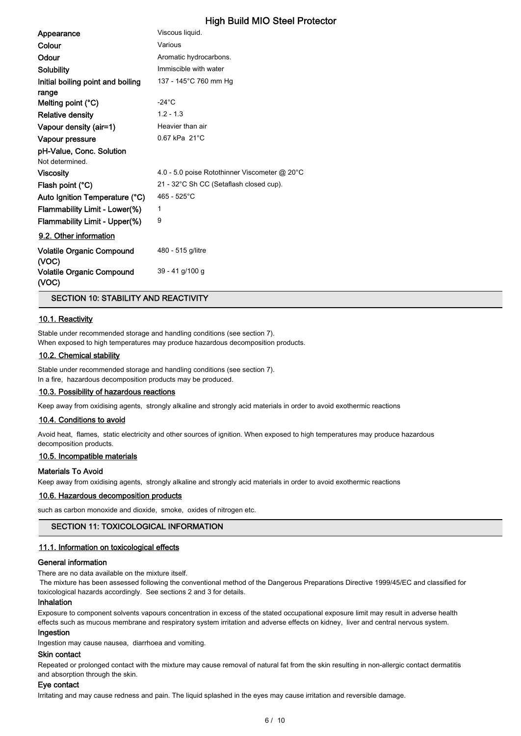| Appearance                                | Viscous liquid.                               |
|-------------------------------------------|-----------------------------------------------|
| Colour                                    | Various                                       |
| Odour                                     | Aromatic hydrocarbons.                        |
| Solubility                                | Immiscible with water                         |
| Initial boiling point and boiling         | 137 - 145°C 760 mm Hg                         |
| range                                     |                                               |
| Melting point (°C)                        | $-24^{\circ}$ C                               |
| <b>Relative density</b>                   | $1.2 - 1.3$                                   |
| Vapour density (air=1)                    | Heavier than air                              |
| Vapour pressure                           | $0.67$ kPa $21^{\circ}$ C                     |
| pH-Value, Conc. Solution                  |                                               |
| Not determined.                           |                                               |
| <b>Viscosity</b>                          | 4.0 - 5.0 poise Rotothinner Viscometer @ 20°C |
| Flash point (°C)                          | 21 - 32°C Sh CC (Setaflash closed cup).       |
| Auto Ignition Temperature (°C)            | 465 - 525°C                                   |
| Flammability Limit - Lower(%)             | 1                                             |
| Flammability Limit - Upper(%)             | 9                                             |
| 9.2. Other information                    |                                               |
| <b>Volatile Organic Compound</b><br>(VOC) | 480 - 515 g/litre                             |
| <b>Volatile Organic Compound</b><br>(VOC) | 39 - 41 g/100 g                               |

SECTION 10: STABILITY AND REACTIVITY

#### 10.1. Reactivity

Stable under recommended storage and handling conditions (see section 7). When exposed to high temperatures may produce hazardous decomposition products.

#### 10.2. Chemical stability

Stable under recommended storage and handling conditions (see section 7). In a fire, hazardous decomposition products may be produced.

#### 10.3. Possibility of hazardous reactions

Keep away from oxidising agents, strongly alkaline and strongly acid materials in order to avoid exothermic reactions

#### 10.4. Conditions to avoid

Avoid heat, flames, static electricity and other sources of ignition. When exposed to high temperatures may produce hazardous decomposition products.

#### 10.5. Incompatible materials

#### Materials To Avoid

Keep away from oxidising agents, strongly alkaline and strongly acid materials in order to avoid exothermic reactions

#### 10.6. Hazardous decomposition products

such as carbon monoxide and dioxide, smoke, oxides of nitrogen etc.

### SECTION 11: TOXICOLOGICAL INFORMATION

## 11.1. Information on toxicological effects

#### General information

There are no data available on the mixture itself.

 The mixture has been assessed following the conventional method of the Dangerous Preparations Directive 1999/45/EC and classified for toxicological hazards accordingly. See sections 2 and 3 for details.

#### Inhalation

Exposure to component solvents vapours concentration in excess of the stated occupational exposure limit may result in adverse health effects such as mucous membrane and respiratory system irritation and adverse effects on kidney, liver and central nervous system.

#### Ingestion

Ingestion may cause nausea, diarrhoea and vomiting.

#### Skin contact

Repeated or prolonged contact with the mixture may cause removal of natural fat from the skin resulting in non-allergic contact dermatitis and absorption through the skin.

### Eye contact

Irritating and may cause redness and pain. The liquid splashed in the eyes may cause irritation and reversible damage.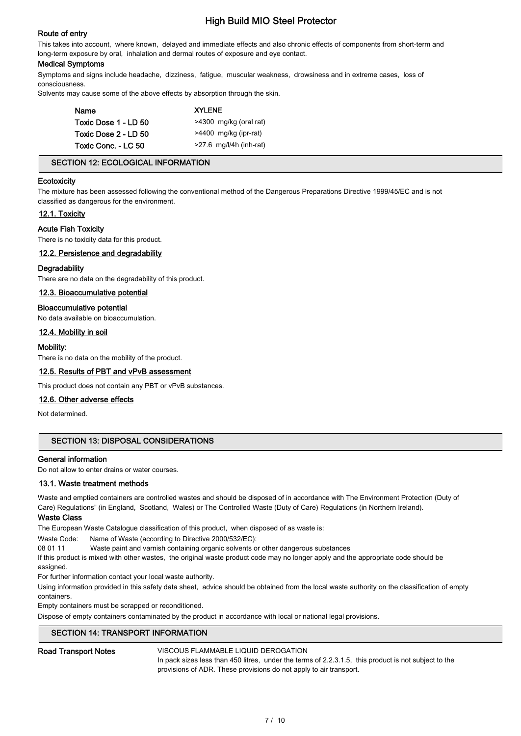### Route of entry

This takes into account, where known, delayed and immediate effects and also chronic effects of components from short-term and long-term exposure by oral, inhalation and dermal routes of exposure and eye contact.

#### Medical Symptoms

Symptoms and signs include headache, dizziness, fatigue, muscular weakness, drowsiness and in extreme cases, loss of consciousness.

Solvents may cause some of the above effects by absorption through the skin.

| Name                 | <b>XYLENE</b>             |  |  |  |
|----------------------|---------------------------|--|--|--|
| Toxic Dose 1 - LD 50 | >4300 mg/kg (oral rat)    |  |  |  |
| Toxic Dose 2 - LD 50 | >4400 mg/kg (ipr-rat)     |  |  |  |
| Toxic Conc. - LC 50  | $>27.6$ mg/l/4h (inh-rat) |  |  |  |

#### SECTION 12: ECOLOGICAL INFORMATION

#### **Ecotoxicity**

The mixture has been assessed following the conventional method of the Dangerous Preparations Directive 1999/45/EC and is not classified as dangerous for the environment.

#### 12.1. Toxicity

#### Acute Fish Toxicity

There is no toxicity data for this product.

#### 12.2. Persistence and degradability

#### **Degradability**

There are no data on the degradability of this product.

#### 12.3. Bioaccumulative potential

### Bioaccumulative potential

No data available on bioaccumulation.

### 12.4. Mobility in soil

#### Mobility:

There is no data on the mobility of the product.

#### 12.5. Results of PBT and vPvB assessment

This product does not contain any PBT or vPvB substances.

#### 12.6. Other adverse effects

Not determined.

## SECTION 13: DISPOSAL CONSIDERATIONS

#### General information

Do not allow to enter drains or water courses.

#### 13.1. Waste treatment methods

Waste and emptied containers are controlled wastes and should be disposed of in accordance with The Environment Protection (Duty of Care) Regulations" (in England, Scotland, Wales) or The Controlled Waste (Duty of Care) Regulations (in Northern Ireland).

#### Waste Class

The European Waste Catalogue classification of this product, when disposed of as waste is:

Waste Code: Name of Waste (according to Directive 2000/532/EC):

08 01 11 Waste paint and varnish containing organic solvents or other dangerous substances

If this product is mixed with other wastes, the original waste product code may no longer apply and the appropriate code should be assigned.

For further information contact your local waste authority.

Using information provided in this safety data sheet, advice should be obtained from the local waste authority on the classification of empty containers.

Empty containers must be scrapped or reconditioned.

Dispose of empty containers contaminated by the product in accordance with local or national legal provisions.

#### SECTION 14: TRANSPORT INFORMATION

#### Road Transport Notes **VISCOUS FLAMMABLE LIQUID DEROGATION**

In pack sizes less than 450 litres, under the terms of 2.2.3.1.5, this product is not subject to the provisions of ADR. These provisions do not apply to air transport.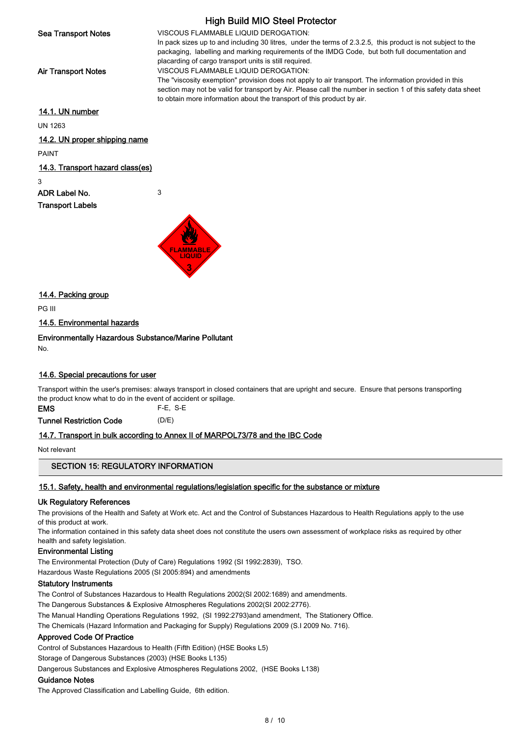High Build MIO Steel Protector Sea Transport Notes **VISCOUS FLAMMABLE LIQUID DEROGATION:** In pack sizes up to and including 30 litres, under the terms of 2.3.2.5, this product is not subject to the packaging, labelling and marking requirements of the IMDG Code, but both full documentation and placarding of cargo transport units is still required. Air Transport Notes **VISCOUS FLAMMABLE LIQUID DEROGATION:** The "viscosity exemption" provision does not apply to air transport. The information provided in this section may not be valid for transport by Air. Please call the number in section 1 of this safety data sheet to obtain more information about the transport of this product by air. 14.1. UN number UN 1263

14.2. UN proper shipping name PAINT

## 14.3. Transport hazard class(es)

3

ADR Label No. 3 Transport Labels



14.4. Packing group

PG III

14.5. Environmental hazards

Environmentally Hazardous Substance/Marine Pollutant

No.

## 14.6. Special precautions for user

Transport within the user's premises: always transport in closed containers that are upright and secure. Ensure that persons transporting the product know what to do in the event of accident or spillage.

EMS F-E, S-E

Tunnel Restriction Code (D/E)

## 14.7. Transport in bulk according to Annex II of MARPOL73/78 and the IBC Code

Not relevant

## SECTION 15: REGULATORY INFORMATION

## 15.1. Safety, health and environmental regulations/legislation specific for the substance or mixture

## Uk Regulatory References

The provisions of the Health and Safety at Work etc. Act and the Control of Substances Hazardous to Health Regulations apply to the use of this product at work.

The information contained in this safety data sheet does not constitute the users own assessment of workplace risks as required by other health and safety legislation.

## Environmental Listing

The Environmental Protection (Duty of Care) Regulations 1992 (SI 1992:2839), TSO. Hazardous Waste Regulations 2005 (SI 2005:894) and amendments

## Statutory Instruments

The Control of Substances Hazardous to Health Regulations 2002(SI 2002:1689) and amendments.

The Dangerous Substances & Explosive Atmospheres Regulations 2002(SI 2002:2776).

The Manual Handling Operations Regulations 1992, (SI 1992:2793)and amendment, The Stationery Office.

The Chemicals (Hazard Information and Packaging for Supply) Regulations 2009 (S.I 2009 No. 716).

## Approved Code Of Practice

Control of Substances Hazardous to Health (Fifth Edition) (HSE Books L5)

Storage of Dangerous Substances (2003) (HSE Books L135)

Dangerous Substances and Explosive Atmospheres Regulations 2002, (HSE Books L138)

## Guidance Notes

The Approved Classification and Labelling Guide, 6th edition.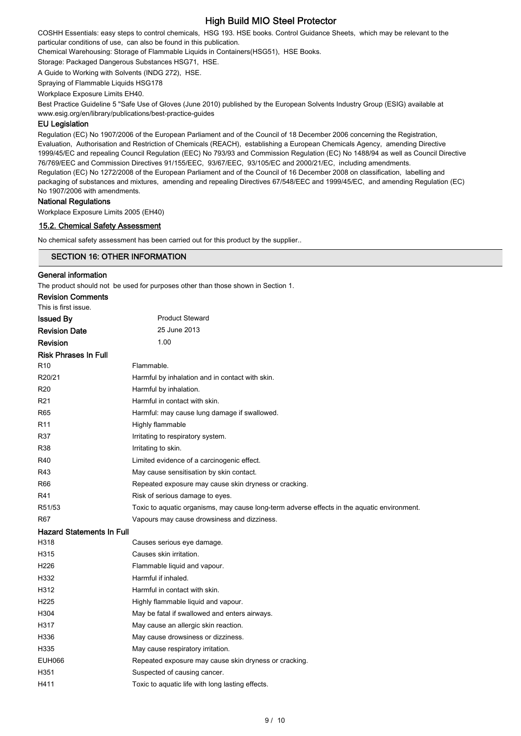COSHH Essentials: easy steps to control chemicals, HSG 193. HSE books. Control Guidance Sheets, which may be relevant to the particular conditions of use, can also be found in this publication.

Chemical Warehousing: Storage of Flammable Liquids in Containers(HSG51), HSE Books.

Storage: Packaged Dangerous Substances HSG71, HSE.

A Guide to Working with Solvents (INDG 272), HSE.

Spraying of Flammable Liquids HSG178

Workplace Exposure Limits EH40.

Best Practice Guideline 5 "Safe Use of Gloves (June 2010) published by the European Solvents Industry Group (ESIG) available at www.esig.org/en/library/publications/best-practice-guides

#### EU Legislation

Regulation (EC) No 1907/2006 of the European Parliament and of the Council of 18 December 2006 concerning the Registration, Evaluation, Authorisation and Restriction of Chemicals (REACH), establishing a European Chemicals Agency, amending Directive 1999/45/EC and repealing Council Regulation (EEC) No 793/93 and Commission Regulation (EC) No 1488/94 as well as Council Directive 76/769/EEC and Commission Directives 91/155/EEC, 93/67/EEC, 93/105/EC and 2000/21/EC, including amendments. Regulation (EC) No 1272/2008 of the European Parliament and of the Council of 16 December 2008 on classification, labelling and packaging of substances and mixtures, amending and repealing Directives 67/548/EEC and 1999/45/EC, and amending Regulation (EC) No 1907/2006 with amendments.

#### National Regulations

Workplace Exposure Limits 2005 (EH40)

#### 15.2. Chemical Safety Assessment

No chemical safety assessment has been carried out for this product by the supplier..

# SECTION 16: OTHER INFORMATION General information

The product should not be used for purposes other than those shown in Section 1.

| <b>Revision Comments</b>         |                                                                                             |
|----------------------------------|---------------------------------------------------------------------------------------------|
| This is first issue.             |                                                                                             |
| <b>Issued By</b>                 | <b>Product Steward</b>                                                                      |
| <b>Revision Date</b>             | 25 June 2013                                                                                |
| Revision                         | 1.00                                                                                        |
| <b>Risk Phrases In Full</b>      |                                                                                             |
| R <sub>10</sub>                  | Flammable.                                                                                  |
| R20/21                           | Harmful by inhalation and in contact with skin.                                             |
| R <sub>20</sub>                  | Harmful by inhalation.                                                                      |
| R <sub>21</sub>                  | Harmful in contact with skin.                                                               |
| R65                              | Harmful: may cause lung damage if swallowed.                                                |
| R <sub>11</sub>                  | Highly flammable                                                                            |
| R37                              | Irritating to respiratory system.                                                           |
| <b>R38</b>                       | Irritating to skin.                                                                         |
| R40                              | Limited evidence of a carcinogenic effect.                                                  |
| R43                              | May cause sensitisation by skin contact.                                                    |
| R66                              | Repeated exposure may cause skin dryness or cracking.                                       |
| R41                              | Risk of serious damage to eyes.                                                             |
| R51/53                           | Toxic to aquatic organisms, may cause long-term adverse effects in the aquatic environment. |
| R <sub>67</sub>                  | Vapours may cause drowsiness and dizziness.                                                 |
| <b>Hazard Statements In Full</b> |                                                                                             |
| H318                             | Causes serious eye damage.                                                                  |
| H315                             | Causes skin irritation.                                                                     |
| H <sub>226</sub>                 | Flammable liquid and vapour.                                                                |
| H332                             | Harmful if inhaled.                                                                         |
| H312                             | Harmful in contact with skin.                                                               |
| H <sub>225</sub>                 | Highly flammable liquid and vapour.                                                         |
| H304                             | May be fatal if swallowed and enters airways.                                               |
| H317                             | May cause an allergic skin reaction.                                                        |
| H336                             | May cause drowsiness or dizziness.                                                          |
| H335                             | May cause respiratory irritation.                                                           |
| <b>EUH066</b>                    | Repeated exposure may cause skin dryness or cracking.                                       |
| H351                             | Suspected of causing cancer.                                                                |
| H411                             | Toxic to aquatic life with long lasting effects.                                            |